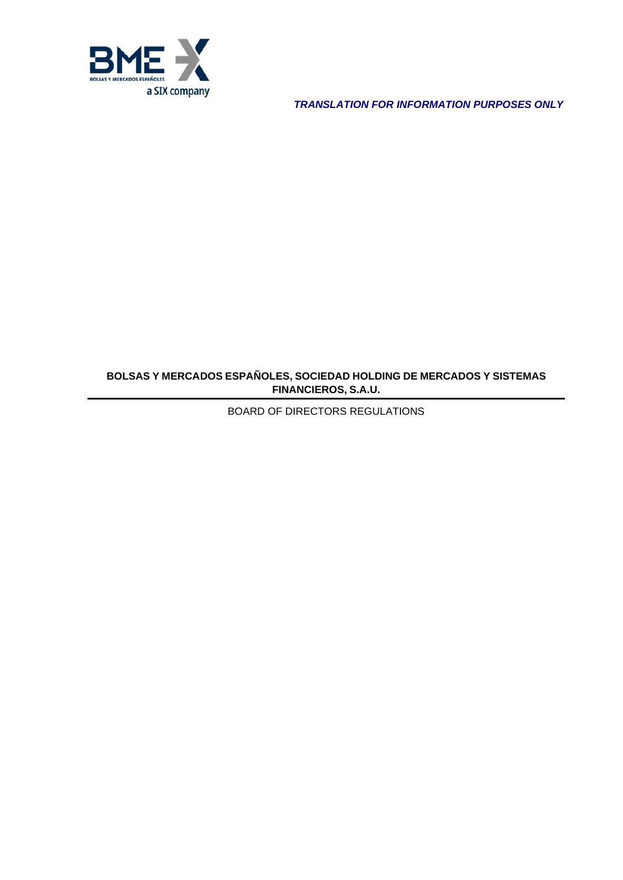

*TRANSLATION FOR INFORMATION PURPOSES ONLY*

# **BOLSAS Y MERCADOS ESPAÑOLES, SOCIEDAD HOLDING DE MERCADOS Y SISTEMAS FINANCIEROS, S.A.U.**

BOARD OF DIRECTORS REGULATIONS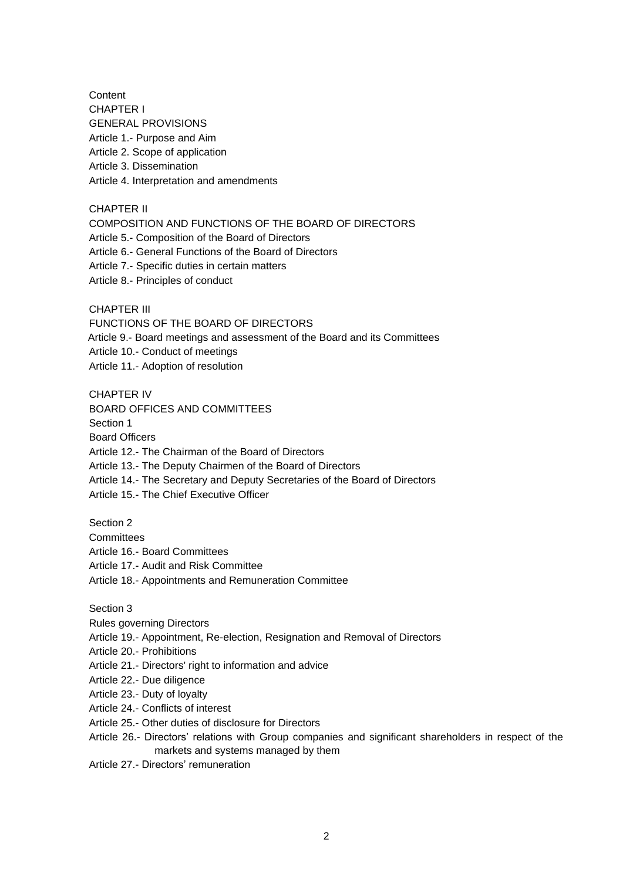**Content** CHAPTER I GENERAL PROVISIONS Article 1.- Purpose and Aim Article 2. Scope of application Article 3. Dissemination Article 4. Interpretation and amendments

CHAPTER II

COMPOSITION AND FUNCTIONS OF THE BOARD OF DIRECTORS

Article 5.- Composition of the Board of Directors

Article 6.- General Functions of the Board of Directors

- Article 7.- Specific duties in certain matters
- Article 8.- Principles of conduct

CHAPTER III

FUNCTIONS OF THE BOARD OF DIRECTORS

Article 9.- Board meetings and assessment of the Board and its Committees

Article 10.- Conduct of meetings

Article 11.- Adoption of resolution

CHAPTER IV

BOARD OFFICES AND COMMITTEES

Section 1

Board Officers

Article 12.- The Chairman of the Board of Directors

Article 13.- The Deputy Chairmen of the Board of Directors

Article 14.- The Secretary and Deputy Secretaries of the Board of Directors

Article 15.- The Chief Executive Officer

Section 2

**Committees** 

Article 16.- Board Committees

Article 17.- Audit and Risk Committee

Article 18.- Appointments and Remuneration Committee

Section 3

Rules governing Directors

Article 19.- Appointment, Re-election, Resignation and Removal of Directors

Article 20.- Prohibitions

Article 21.- Directors' right to information and advice

Article 22.- Due diligence

Article 23.- Duty of loyalty

Article 24.- Conflicts of interest

Article 25.- Other duties of disclosure for Directors

Article 26.- Directors' relations with Group companies and significant shareholders in respect of the markets and systems managed by them

Article 27.- Directors' remuneration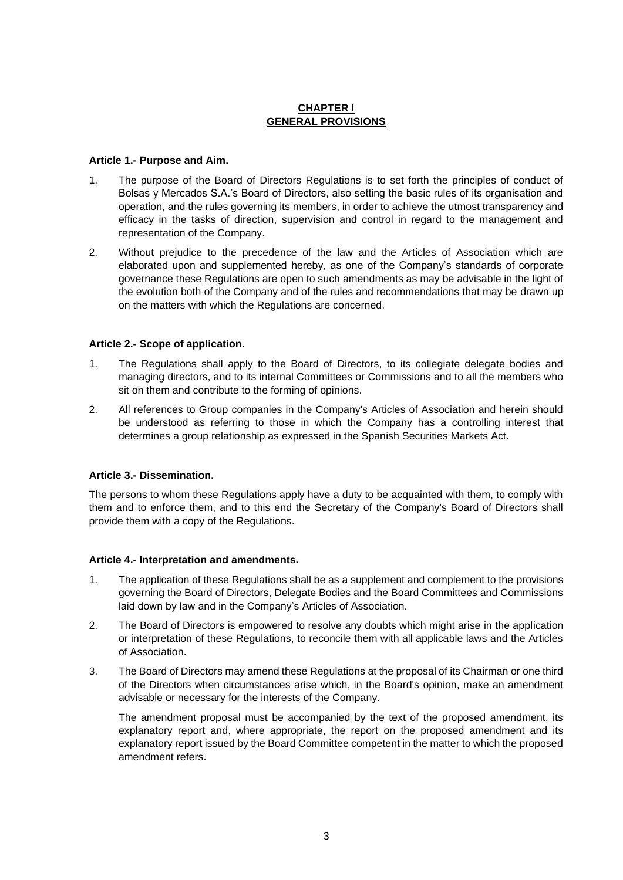# **CHAPTER I GENERAL PROVISIONS**

### **Article 1.- Purpose and Aim.**

- 1. The purpose of the Board of Directors Regulations is to set forth the principles of conduct of Bolsas y Mercados S.A.'s Board of Directors, also setting the basic rules of its organisation and operation, and the rules governing its members, in order to achieve the utmost transparency and efficacy in the tasks of direction, supervision and control in regard to the management and representation of the Company.
- 2. Without prejudice to the precedence of the law and the Articles of Association which are elaborated upon and supplemented hereby, as one of the Company's standards of corporate governance these Regulations are open to such amendments as may be advisable in the light of the evolution both of the Company and of the rules and recommendations that may be drawn up on the matters with which the Regulations are concerned.

### **Article 2.- Scope of application.**

- 1. The Regulations shall apply to the Board of Directors, to its collegiate delegate bodies and managing directors, and to its internal Committees or Commissions and to all the members who sit on them and contribute to the forming of opinions.
- 2. All references to Group companies in the Company's Articles of Association and herein should be understood as referring to those in which the Company has a controlling interest that determines a group relationship as expressed in the Spanish Securities Markets Act.

# **Article 3.- Dissemination.**

The persons to whom these Regulations apply have a duty to be acquainted with them, to comply with them and to enforce them, and to this end the Secretary of the Company's Board of Directors shall provide them with a copy of the Regulations.

#### **Article 4.- Interpretation and amendments.**

- 1. The application of these Regulations shall be as a supplement and complement to the provisions governing the Board of Directors, Delegate Bodies and the Board Committees and Commissions laid down by law and in the Company's Articles of Association.
- 2. The Board of Directors is empowered to resolve any doubts which might arise in the application or interpretation of these Regulations, to reconcile them with all applicable laws and the Articles of Association.
- 3. The Board of Directors may amend these Regulations at the proposal of its Chairman or one third of the Directors when circumstances arise which, in the Board's opinion, make an amendment advisable or necessary for the interests of the Company.

The amendment proposal must be accompanied by the text of the proposed amendment, its explanatory report and, where appropriate, the report on the proposed amendment and its explanatory report issued by the Board Committee competent in the matter to which the proposed amendment refers.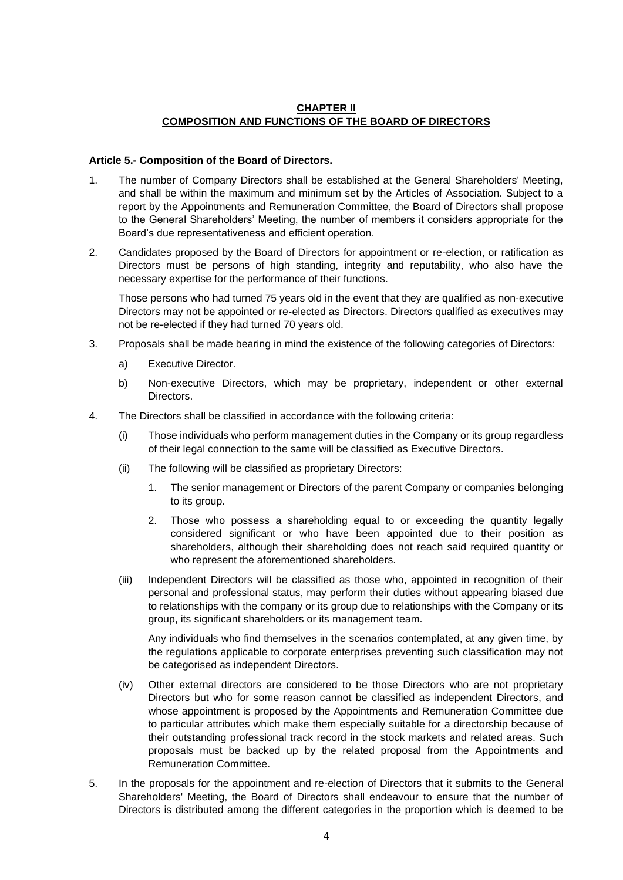# **CHAPTER II COMPOSITION AND FUNCTIONS OF THE BOARD OF DIRECTORS**

### **Article 5.- Composition of the Board of Directors.**

- 1. The number of Company Directors shall be established at the General Shareholders' Meeting, and shall be within the maximum and minimum set by the Articles of Association. Subject to a report by the Appointments and Remuneration Committee, the Board of Directors shall propose to the General Shareholders' Meeting, the number of members it considers appropriate for the Board's due representativeness and efficient operation.
- 2. Candidates proposed by the Board of Directors for appointment or re-election, or ratification as Directors must be persons of high standing, integrity and reputability, who also have the necessary expertise for the performance of their functions.

Those persons who had turned 75 years old in the event that they are qualified as non-executive Directors may not be appointed or re-elected as Directors. Directors qualified as executives may not be re-elected if they had turned 70 years old.

- 3. Proposals shall be made bearing in mind the existence of the following categories of Directors:
	- a) Executive Director.
	- b) Non-executive Directors, which may be proprietary, independent or other external Directors.
- 4. The Directors shall be classified in accordance with the following criteria:
	- (i) Those individuals who perform management duties in the Company or its group regardless of their legal connection to the same will be classified as Executive Directors.
	- (ii) The following will be classified as proprietary Directors:
		- 1. The senior management or Directors of the parent Company or companies belonging to its group.
		- 2. Those who possess a shareholding equal to or exceeding the quantity legally considered significant or who have been appointed due to their position as shareholders, although their shareholding does not reach said required quantity or who represent the aforementioned shareholders.
	- (iii) Independent Directors will be classified as those who, appointed in recognition of their personal and professional status, may perform their duties without appearing biased due to relationships with the company or its group due to relationships with the Company or its group, its significant shareholders or its management team.

Any individuals who find themselves in the scenarios contemplated, at any given time, by the regulations applicable to corporate enterprises preventing such classification may not be categorised as independent Directors.

- (iv) Other external directors are considered to be those Directors who are not proprietary Directors but who for some reason cannot be classified as independent Directors, and whose appointment is proposed by the Appointments and Remuneration Committee due to particular attributes which make them especially suitable for a directorship because of their outstanding professional track record in the stock markets and related areas. Such proposals must be backed up by the related proposal from the Appointments and Remuneration Committee.
- 5. In the proposals for the appointment and re-election of Directors that it submits to the General Shareholders' Meeting, the Board of Directors shall endeavour to ensure that the number of Directors is distributed among the different categories in the proportion which is deemed to be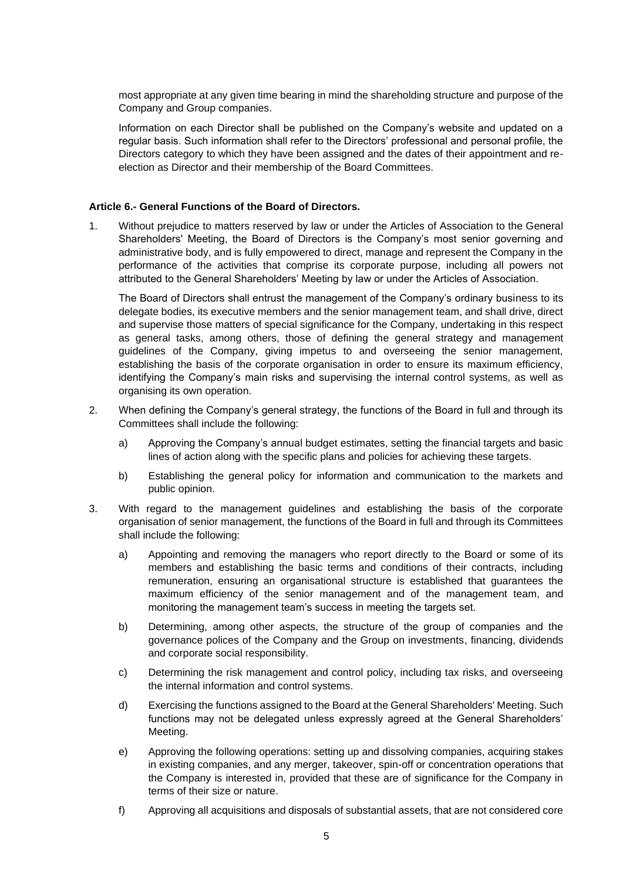most appropriate at any given time bearing in mind the shareholding structure and purpose of the Company and Group companies.

Information on each Director shall be published on the Company's website and updated on a regular basis. Such information shall refer to the Directors' professional and personal profile, the Directors category to which they have been assigned and the dates of their appointment and reelection as Director and their membership of the Board Committees.

### **Article 6.- General Functions of the Board of Directors.**

1. Without prejudice to matters reserved by law or under the Articles of Association to the General Shareholders' Meeting, the Board of Directors is the Company's most senior governing and administrative body, and is fully empowered to direct, manage and represent the Company in the performance of the activities that comprise its corporate purpose, including all powers not attributed to the General Shareholders' Meeting by law or under the Articles of Association.

The Board of Directors shall entrust the management of the Company's ordinary business to its delegate bodies, its executive members and the senior management team, and shall drive, direct and supervise those matters of special significance for the Company, undertaking in this respect as general tasks, among others, those of defining the general strategy and management guidelines of the Company, giving impetus to and overseeing the senior management, establishing the basis of the corporate organisation in order to ensure its maximum efficiency, identifying the Company's main risks and supervising the internal control systems, as well as organising its own operation.

- 2. When defining the Company's general strategy, the functions of the Board in full and through its Committees shall include the following:
	- a) Approving the Company's annual budget estimates, setting the financial targets and basic lines of action along with the specific plans and policies for achieving these targets.
	- b) Establishing the general policy for information and communication to the markets and public opinion.
- 3. With regard to the management guidelines and establishing the basis of the corporate organisation of senior management, the functions of the Board in full and through its Committees shall include the following:
	- a) Appointing and removing the managers who report directly to the Board or some of its members and establishing the basic terms and conditions of their contracts, including remuneration, ensuring an organisational structure is established that guarantees the maximum efficiency of the senior management and of the management team, and monitoring the management team's success in meeting the targets set.
	- b) Determining, among other aspects, the structure of the group of companies and the governance polices of the Company and the Group on investments, financing, dividends and corporate social responsibility.
	- c) Determining the risk management and control policy, including tax risks, and overseeing the internal information and control systems.
	- d) Exercising the functions assigned to the Board at the General Shareholders' Meeting. Such functions may not be delegated unless expressly agreed at the General Shareholders' Meeting.
	- e) Approving the following operations: setting up and dissolving companies, acquiring stakes in existing companies, and any merger, takeover, spin-off or concentration operations that the Company is interested in, provided that these are of significance for the Company in terms of their size or nature.
	- f) Approving all acquisitions and disposals of substantial assets, that are not considered core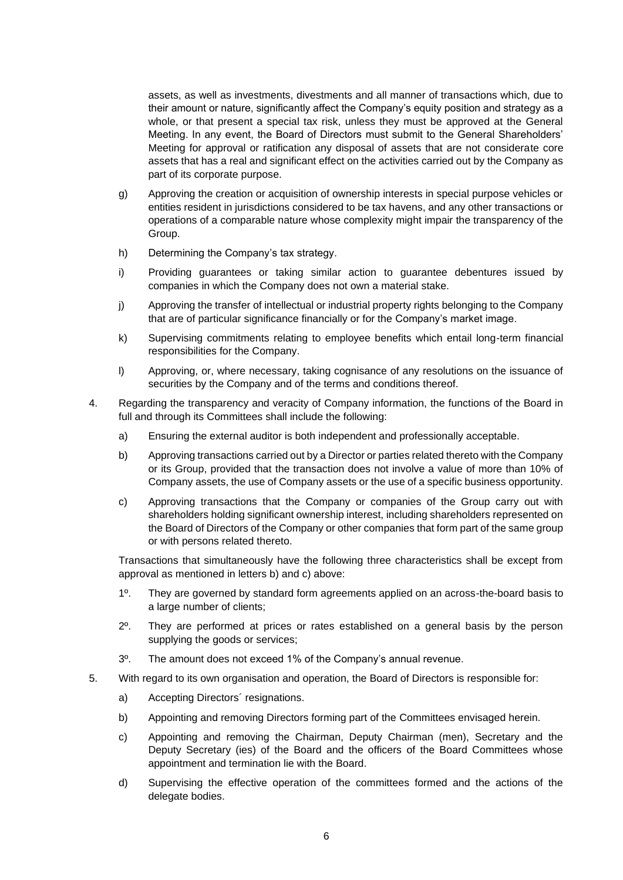assets, as well as investments, divestments and all manner of transactions which, due to their amount or nature, significantly affect the Company's equity position and strategy as a whole, or that present a special tax risk, unless they must be approved at the General Meeting. In any event, the Board of Directors must submit to the General Shareholders' Meeting for approval or ratification any disposal of assets that are not considerate core assets that has a real and significant effect on the activities carried out by the Company as part of its corporate purpose.

- g) Approving the creation or acquisition of ownership interests in special purpose vehicles or entities resident in jurisdictions considered to be tax havens, and any other transactions or operations of a comparable nature whose complexity might impair the transparency of the Group.
- h) Determining the Company's tax strategy.
- i) Providing guarantees or taking similar action to guarantee debentures issued by companies in which the Company does not own a material stake.
- j) Approving the transfer of intellectual or industrial property rights belonging to the Company that are of particular significance financially or for the Company's market image.
- k) Supervising commitments relating to employee benefits which entail long-term financial responsibilities for the Company.
- l) Approving, or, where necessary, taking cognisance of any resolutions on the issuance of securities by the Company and of the terms and conditions thereof.
- 4. Regarding the transparency and veracity of Company information, the functions of the Board in full and through its Committees shall include the following:
	- a) Ensuring the external auditor is both independent and professionally acceptable.
	- b) Approving transactions carried out by a Director or parties related thereto with the Company or its Group, provided that the transaction does not involve a value of more than 10% of Company assets, the use of Company assets or the use of a specific business opportunity.
	- c) Approving transactions that the Company or companies of the Group carry out with shareholders holding significant ownership interest, including shareholders represented on the Board of Directors of the Company or other companies that form part of the same group or with persons related thereto.

Transactions that simultaneously have the following three characteristics shall be except from approval as mentioned in letters b) and c) above:

- 1º. They are governed by standard form agreements applied on an across-the-board basis to a large number of clients;
- 2º. They are performed at prices or rates established on a general basis by the person supplying the goods or services;
- 3º. The amount does not exceed 1% of the Company's annual revenue.
- 5. With regard to its own organisation and operation, the Board of Directors is responsible for:
	- a) Accepting Directors´ resignations.
	- b) Appointing and removing Directors forming part of the Committees envisaged herein.
	- c) Appointing and removing the Chairman, Deputy Chairman (men), Secretary and the Deputy Secretary (ies) of the Board and the officers of the Board Committees whose appointment and termination lie with the Board.
	- d) Supervising the effective operation of the committees formed and the actions of the delegate bodies.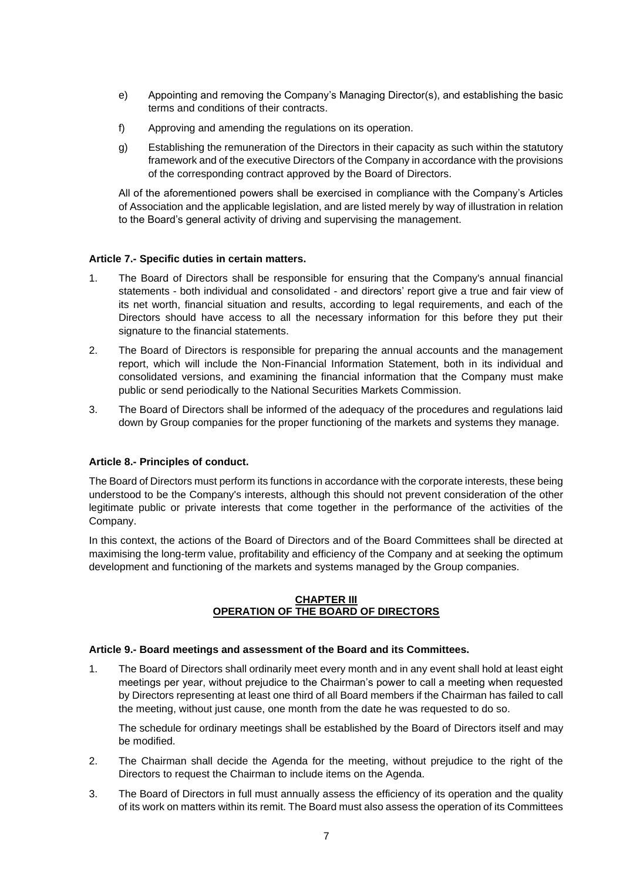- e) Appointing and removing the Company's Managing Director(s), and establishing the basic terms and conditions of their contracts.
- f) Approving and amending the regulations on its operation.
- g) Establishing the remuneration of the Directors in their capacity as such within the statutory framework and of the executive Directors of the Company in accordance with the provisions of the corresponding contract approved by the Board of Directors.

All of the aforementioned powers shall be exercised in compliance with the Company's Articles of Association and the applicable legislation, and are listed merely by way of illustration in relation to the Board's general activity of driving and supervising the management.

# **Article 7.- Specific duties in certain matters.**

- 1. The Board of Directors shall be responsible for ensuring that the Company's annual financial statements - both individual and consolidated - and directors' report give a true and fair view of its net worth, financial situation and results, according to legal requirements, and each of the Directors should have access to all the necessary information for this before they put their signature to the financial statements.
- 2. The Board of Directors is responsible for preparing the annual accounts and the management report, which will include the Non-Financial Information Statement, both in its individual and consolidated versions, and examining the financial information that the Company must make public or send periodically to the National Securities Markets Commission.
- 3. The Board of Directors shall be informed of the adequacy of the procedures and regulations laid down by Group companies for the proper functioning of the markets and systems they manage.

# **Article 8.- Principles of conduct.**

The Board of Directors must perform its functions in accordance with the corporate interests, these being understood to be the Company's interests, although this should not prevent consideration of the other legitimate public or private interests that come together in the performance of the activities of the Company.

In this context, the actions of the Board of Directors and of the Board Committees shall be directed at maximising the long-term value, profitability and efficiency of the Company and at seeking the optimum development and functioning of the markets and systems managed by the Group companies.

# **CHAPTER III OPERATION OF THE BOARD OF DIRECTORS**

# **Article 9.- Board meetings and assessment of the Board and its Committees.**

1. The Board of Directors shall ordinarily meet every month and in any event shall hold at least eight meetings per year, without prejudice to the Chairman's power to call a meeting when requested by Directors representing at least one third of all Board members if the Chairman has failed to call the meeting, without just cause, one month from the date he was requested to do so.

The schedule for ordinary meetings shall be established by the Board of Directors itself and may be modified.

- 2. The Chairman shall decide the Agenda for the meeting, without prejudice to the right of the Directors to request the Chairman to include items on the Agenda.
- 3. The Board of Directors in full must annually assess the efficiency of its operation and the quality of its work on matters within its remit. The Board must also assess the operation of its Committees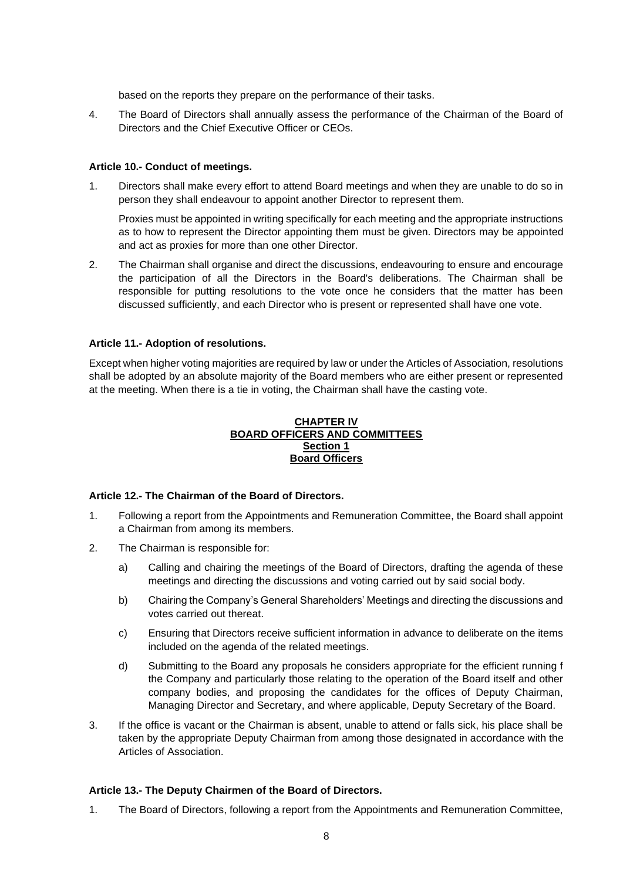based on the reports they prepare on the performance of their tasks.

4. The Board of Directors shall annually assess the performance of the Chairman of the Board of Directors and the Chief Executive Officer or CEOs.

### **Article 10.- Conduct of meetings.**

1. Directors shall make every effort to attend Board meetings and when they are unable to do so in person they shall endeavour to appoint another Director to represent them.

Proxies must be appointed in writing specifically for each meeting and the appropriate instructions as to how to represent the Director appointing them must be given. Directors may be appointed and act as proxies for more than one other Director.

2. The Chairman shall organise and direct the discussions, endeavouring to ensure and encourage the participation of all the Directors in the Board's deliberations. The Chairman shall be responsible for putting resolutions to the vote once he considers that the matter has been discussed sufficiently, and each Director who is present or represented shall have one vote.

### **Article 11.- Adoption of resolutions.**

Except when higher voting majorities are required by law or under the Articles of Association, resolutions shall be adopted by an absolute majority of the Board members who are either present or represented at the meeting. When there is a tie in voting, the Chairman shall have the casting vote.

#### **CHAPTER IV BOARD OFFICERS AND COMMITTEES Section 1 Board Officers**

#### **Article 12.- The Chairman of the Board of Directors.**

- 1. Following a report from the Appointments and Remuneration Committee, the Board shall appoint a Chairman from among its members.
- 2. The Chairman is responsible for:
	- a) Calling and chairing the meetings of the Board of Directors, drafting the agenda of these meetings and directing the discussions and voting carried out by said social body.
	- b) Chairing the Company's General Shareholders' Meetings and directing the discussions and votes carried out thereat.
	- c) Ensuring that Directors receive sufficient information in advance to deliberate on the items included on the agenda of the related meetings.
	- d) Submitting to the Board any proposals he considers appropriate for the efficient running f the Company and particularly those relating to the operation of the Board itself and other company bodies, and proposing the candidates for the offices of Deputy Chairman, Managing Director and Secretary, and where applicable, Deputy Secretary of the Board.
- 3. If the office is vacant or the Chairman is absent, unable to attend or falls sick, his place shall be taken by the appropriate Deputy Chairman from among those designated in accordance with the Articles of Association.

#### **Article 13.- The Deputy Chairmen of the Board of Directors.**

1. The Board of Directors, following a report from the Appointments and Remuneration Committee,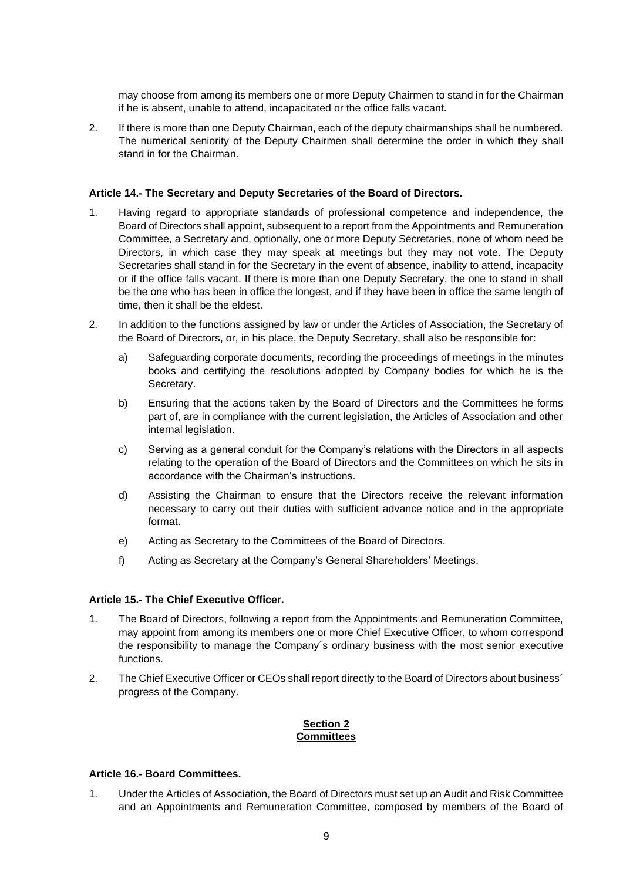may choose from among its members one or more Deputy Chairmen to stand in for the Chairman if he is absent, unable to attend, incapacitated or the office falls vacant.

2. If there is more than one Deputy Chairman, each of the deputy chairmanships shall be numbered. The numerical seniority of the Deputy Chairmen shall determine the order in which they shall stand in for the Chairman.

### **Article 14.- The Secretary and Deputy Secretaries of the Board of Directors.**

- 1. Having regard to appropriate standards of professional competence and independence, the Board of Directors shall appoint, subsequent to a report from the Appointments and Remuneration Committee, a Secretary and, optionally, one or more Deputy Secretaries, none of whom need be Directors, in which case they may speak at meetings but they may not vote. The Deputy Secretaries shall stand in for the Secretary in the event of absence, inability to attend, incapacity or if the office falls vacant. If there is more than one Deputy Secretary, the one to stand in shall be the one who has been in office the longest, and if they have been in office the same length of time, then it shall be the eldest.
- 2. In addition to the functions assigned by law or under the Articles of Association, the Secretary of the Board of Directors, or, in his place, the Deputy Secretary, shall also be responsible for:
	- a) Safeguarding corporate documents, recording the proceedings of meetings in the minutes books and certifying the resolutions adopted by Company bodies for which he is the Secretary.
	- b) Ensuring that the actions taken by the Board of Directors and the Committees he forms part of, are in compliance with the current legislation, the Articles of Association and other internal legislation.
	- c) Serving as a general conduit for the Company's relations with the Directors in all aspects relating to the operation of the Board of Directors and the Committees on which he sits in accordance with the Chairman's instructions.
	- d) Assisting the Chairman to ensure that the Directors receive the relevant information necessary to carry out their duties with sufficient advance notice and in the appropriate format.
	- e) Acting as Secretary to the Committees of the Board of Directors.
	- f) Acting as Secretary at the Company's General Shareholders' Meetings.

#### **Article 15.- The Chief Executive Officer.**

- 1. The Board of Directors, following a report from the Appointments and Remuneration Committee, may appoint from among its members one or more Chief Executive Officer, to whom correspond the responsibility to manage the Company´s ordinary business with the most senior executive functions.
- 2. The Chief Executive Officer or CEOs shall report directly to the Board of Directors about business' progress of the Company.

#### **Section 2 Committees**

#### **Article 16.- Board Committees.**

1. Under the Articles of Association, the Board of Directors must set up an Audit and Risk Committee and an Appointments and Remuneration Committee, composed by members of the Board of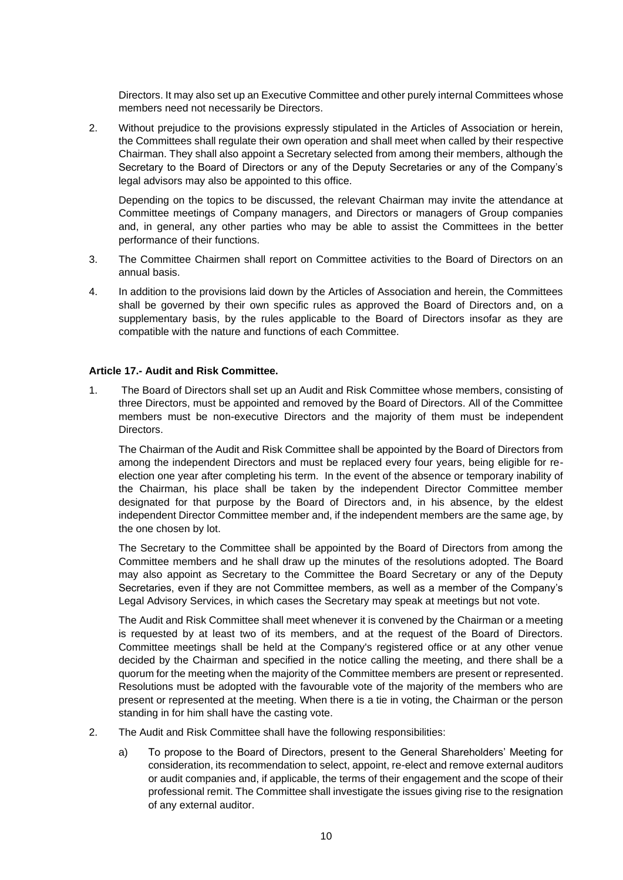Directors. It may also set up an Executive Committee and other purely internal Committees whose members need not necessarily be Directors.

2. Without prejudice to the provisions expressly stipulated in the Articles of Association or herein, the Committees shall regulate their own operation and shall meet when called by their respective Chairman. They shall also appoint a Secretary selected from among their members, although the Secretary to the Board of Directors or any of the Deputy Secretaries or any of the Company's legal advisors may also be appointed to this office.

Depending on the topics to be discussed, the relevant Chairman may invite the attendance at Committee meetings of Company managers, and Directors or managers of Group companies and, in general, any other parties who may be able to assist the Committees in the better performance of their functions.

- 3. The Committee Chairmen shall report on Committee activities to the Board of Directors on an annual basis.
- 4. In addition to the provisions laid down by the Articles of Association and herein, the Committees shall be governed by their own specific rules as approved the Board of Directors and, on a supplementary basis, by the rules applicable to the Board of Directors insofar as they are compatible with the nature and functions of each Committee.

# **Article 17.- Audit and Risk Committee.**

1. The Board of Directors shall set up an Audit and Risk Committee whose members, consisting of three Directors, must be appointed and removed by the Board of Directors. All of the Committee members must be non-executive Directors and the majority of them must be independent Directors.

The Chairman of the Audit and Risk Committee shall be appointed by the Board of Directors from among the independent Directors and must be replaced every four years, being eligible for reelection one year after completing his term. In the event of the absence or temporary inability of the Chairman, his place shall be taken by the independent Director Committee member designated for that purpose by the Board of Directors and, in his absence, by the eldest independent Director Committee member and, if the independent members are the same age, by the one chosen by lot.

The Secretary to the Committee shall be appointed by the Board of Directors from among the Committee members and he shall draw up the minutes of the resolutions adopted. The Board may also appoint as Secretary to the Committee the Board Secretary or any of the Deputy Secretaries, even if they are not Committee members, as well as a member of the Company's Legal Advisory Services, in which cases the Secretary may speak at meetings but not vote.

The Audit and Risk Committee shall meet whenever it is convened by the Chairman or a meeting is requested by at least two of its members, and at the request of the Board of Directors. Committee meetings shall be held at the Company's registered office or at any other venue decided by the Chairman and specified in the notice calling the meeting, and there shall be a quorum for the meeting when the majority of the Committee members are present or represented. Resolutions must be adopted with the favourable vote of the majority of the members who are present or represented at the meeting. When there is a tie in voting, the Chairman or the person standing in for him shall have the casting vote.

- 2. The Audit and Risk Committee shall have the following responsibilities:
	- a) To propose to the Board of Directors, present to the General Shareholders' Meeting for consideration, its recommendation to select, appoint, re-elect and remove external auditors or audit companies and, if applicable, the terms of their engagement and the scope of their professional remit. The Committee shall investigate the issues giving rise to the resignation of any external auditor.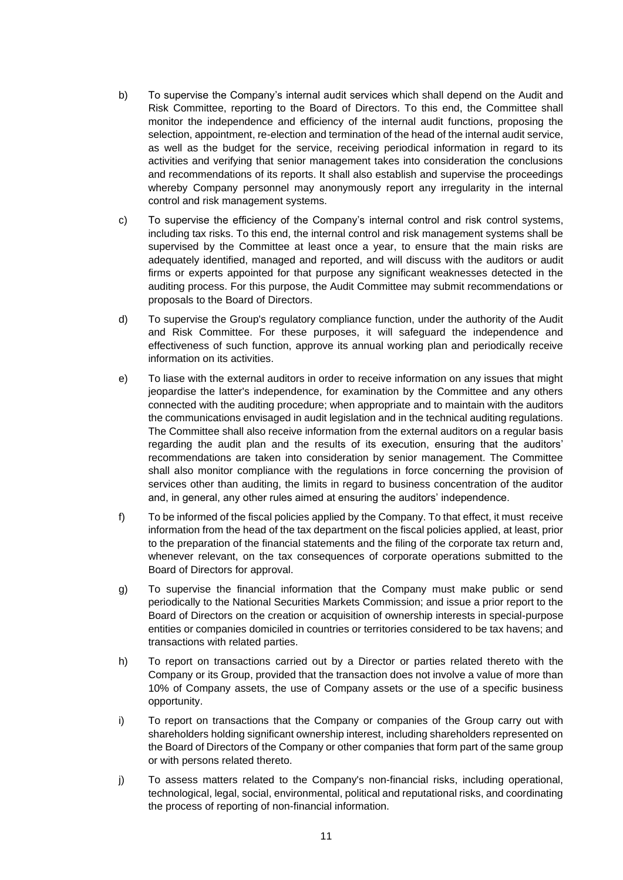- b) To supervise the Company's internal audit services which shall depend on the Audit and Risk Committee, reporting to the Board of Directors. To this end, the Committee shall monitor the independence and efficiency of the internal audit functions, proposing the selection, appointment, re-election and termination of the head of the internal audit service, as well as the budget for the service, receiving periodical information in regard to its activities and verifying that senior management takes into consideration the conclusions and recommendations of its reports. It shall also establish and supervise the proceedings whereby Company personnel may anonymously report any irregularity in the internal control and risk management systems.
- c) To supervise the efficiency of the Company's internal control and risk control systems, including tax risks. To this end, the internal control and risk management systems shall be supervised by the Committee at least once a year, to ensure that the main risks are adequately identified, managed and reported, and will discuss with the auditors or audit firms or experts appointed for that purpose any significant weaknesses detected in the auditing process. For this purpose, the Audit Committee may submit recommendations or proposals to the Board of Directors.
- d) To supervise the Group's regulatory compliance function, under the authority of the Audit and Risk Committee. For these purposes, it will safeguard the independence and effectiveness of such function, approve its annual working plan and periodically receive information on its activities.
- e) To liase with the external auditors in order to receive information on any issues that might jeopardise the latter's independence, for examination by the Committee and any others connected with the auditing procedure; when appropriate and to maintain with the auditors the communications envisaged in audit legislation and in the technical auditing regulations. The Committee shall also receive information from the external auditors on a regular basis regarding the audit plan and the results of its execution, ensuring that the auditors' recommendations are taken into consideration by senior management. The Committee shall also monitor compliance with the regulations in force concerning the provision of services other than auditing, the limits in regard to business concentration of the auditor and, in general, any other rules aimed at ensuring the auditors' independence.
- f) To be informed of the fiscal policies applied by the Company. To that effect, it must receive information from the head of the tax department on the fiscal policies applied, at least, prior to the preparation of the financial statements and the filing of the corporate tax return and, whenever relevant, on the tax consequences of corporate operations submitted to the Board of Directors for approval.
- g) To supervise the financial information that the Company must make public or send periodically to the National Securities Markets Commission; and issue a prior report to the Board of Directors on the creation or acquisition of ownership interests in special-purpose entities or companies domiciled in countries or territories considered to be tax havens; and transactions with related parties.
- h) To report on transactions carried out by a Director or parties related thereto with the Company or its Group, provided that the transaction does not involve a value of more than 10% of Company assets, the use of Company assets or the use of a specific business opportunity.
- i) To report on transactions that the Company or companies of the Group carry out with shareholders holding significant ownership interest, including shareholders represented on the Board of Directors of the Company or other companies that form part of the same group or with persons related thereto.
- j) To assess matters related to the Company's non-financial risks, including operational, technological, legal, social, environmental, political and reputational risks, and coordinating the process of reporting of non-financial information.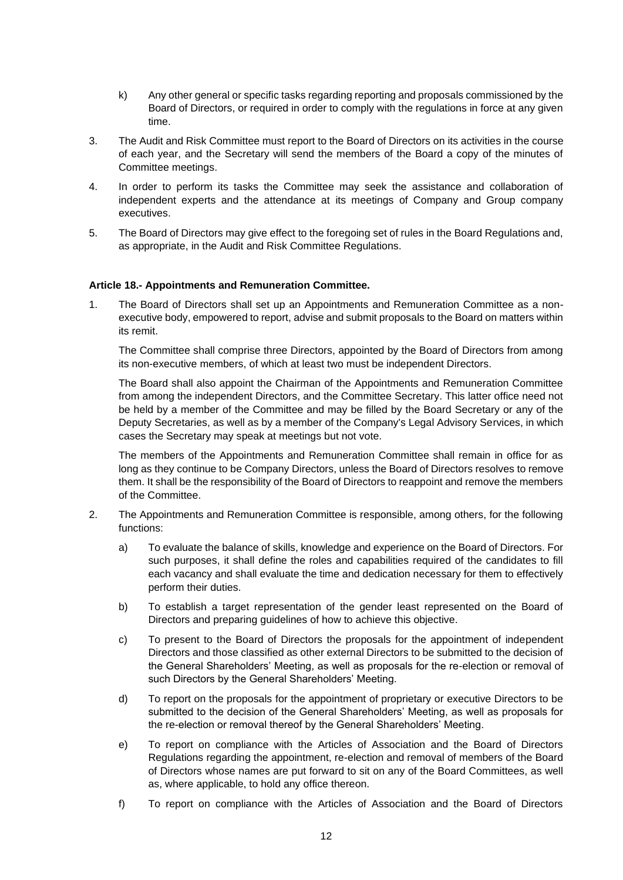- k) Any other general or specific tasks regarding reporting and proposals commissioned by the Board of Directors, or required in order to comply with the regulations in force at any given time.
- 3. The Audit and Risk Committee must report to the Board of Directors on its activities in the course of each year, and the Secretary will send the members of the Board a copy of the minutes of Committee meetings.
- 4. In order to perform its tasks the Committee may seek the assistance and collaboration of independent experts and the attendance at its meetings of Company and Group company executives.
- 5. The Board of Directors may give effect to the foregoing set of rules in the Board Regulations and, as appropriate, in the Audit and Risk Committee Regulations.

### **Article 18.- Appointments and Remuneration Committee.**

1. The Board of Directors shall set up an Appointments and Remuneration Committee as a nonexecutive body, empowered to report, advise and submit proposals to the Board on matters within its remit.

The Committee shall comprise three Directors, appointed by the Board of Directors from among its non-executive members, of which at least two must be independent Directors.

The Board shall also appoint the Chairman of the Appointments and Remuneration Committee from among the independent Directors, and the Committee Secretary. This latter office need not be held by a member of the Committee and may be filled by the Board Secretary or any of the Deputy Secretaries, as well as by a member of the Company's Legal Advisory Services, in which cases the Secretary may speak at meetings but not vote.

The members of the Appointments and Remuneration Committee shall remain in office for as long as they continue to be Company Directors, unless the Board of Directors resolves to remove them. It shall be the responsibility of the Board of Directors to reappoint and remove the members of the Committee.

- 2. The Appointments and Remuneration Committee is responsible, among others, for the following functions:
	- a) To evaluate the balance of skills, knowledge and experience on the Board of Directors. For such purposes, it shall define the roles and capabilities required of the candidates to fill each vacancy and shall evaluate the time and dedication necessary for them to effectively perform their duties.
	- b) To establish a target representation of the gender least represented on the Board of Directors and preparing guidelines of how to achieve this objective.
	- c) To present to the Board of Directors the proposals for the appointment of independent Directors and those classified as other external Directors to be submitted to the decision of the General Shareholders' Meeting, as well as proposals for the re-election or removal of such Directors by the General Shareholders' Meeting.
	- d) To report on the proposals for the appointment of proprietary or executive Directors to be submitted to the decision of the General Shareholders' Meeting, as well as proposals for the re-election or removal thereof by the General Shareholders' Meeting.
	- e) To report on compliance with the Articles of Association and the Board of Directors Regulations regarding the appointment, re-election and removal of members of the Board of Directors whose names are put forward to sit on any of the Board Committees, as well as, where applicable, to hold any office thereon.
	- f) To report on compliance with the Articles of Association and the Board of Directors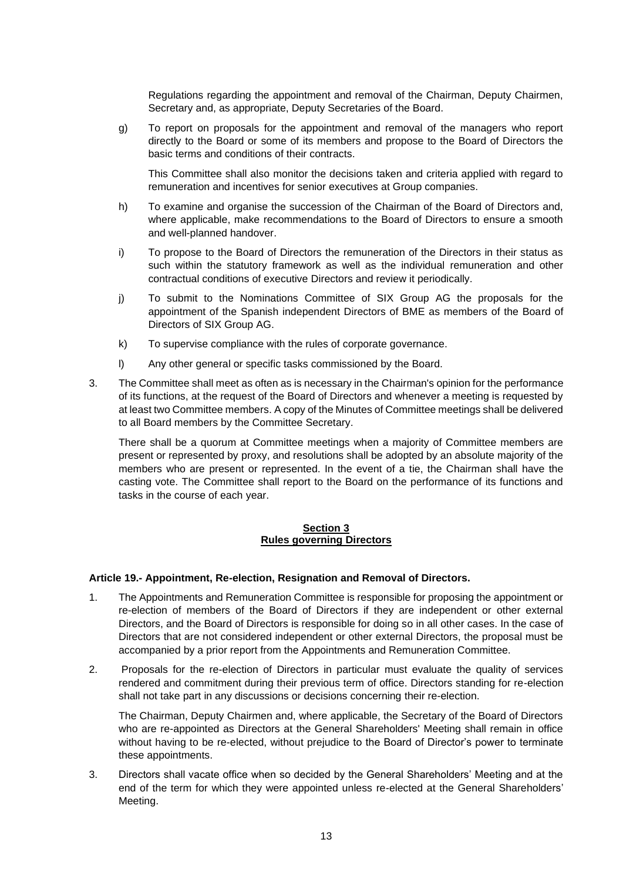Regulations regarding the appointment and removal of the Chairman, Deputy Chairmen, Secretary and, as appropriate, Deputy Secretaries of the Board.

g) To report on proposals for the appointment and removal of the managers who report directly to the Board or some of its members and propose to the Board of Directors the basic terms and conditions of their contracts.

This Committee shall also monitor the decisions taken and criteria applied with regard to remuneration and incentives for senior executives at Group companies.

- h) To examine and organise the succession of the Chairman of the Board of Directors and, where applicable, make recommendations to the Board of Directors to ensure a smooth and well-planned handover.
- i) To propose to the Board of Directors the remuneration of the Directors in their status as such within the statutory framework as well as the individual remuneration and other contractual conditions of executive Directors and review it periodically.
- j) To submit to the Nominations Committee of SIX Group AG the proposals for the appointment of the Spanish independent Directors of BME as members of the Board of Directors of SIX Group AG.
- k) To supervise compliance with the rules of corporate governance.
- l) Any other general or specific tasks commissioned by the Board.
- 3. The Committee shall meet as often as is necessary in the Chairman's opinion for the performance of its functions, at the request of the Board of Directors and whenever a meeting is requested by at least two Committee members. A copy of the Minutes of Committee meetings shall be delivered to all Board members by the Committee Secretary.

There shall be a quorum at Committee meetings when a majority of Committee members are present or represented by proxy, and resolutions shall be adopted by an absolute majority of the members who are present or represented. In the event of a tie, the Chairman shall have the casting vote. The Committee shall report to the Board on the performance of its functions and tasks in the course of each year.

# **Section 3 Rules governing Directors**

#### **Article 19.- Appointment, Re-election, Resignation and Removal of Directors.**

- 1. The Appointments and Remuneration Committee is responsible for proposing the appointment or re-election of members of the Board of Directors if they are independent or other external Directors, and the Board of Directors is responsible for doing so in all other cases. In the case of Directors that are not considered independent or other external Directors, the proposal must be accompanied by a prior report from the Appointments and Remuneration Committee.
- 2. Proposals for the re-election of Directors in particular must evaluate the quality of services rendered and commitment during their previous term of office. Directors standing for re-election shall not take part in any discussions or decisions concerning their re-election.

The Chairman, Deputy Chairmen and, where applicable, the Secretary of the Board of Directors who are re-appointed as Directors at the General Shareholders' Meeting shall remain in office without having to be re-elected, without prejudice to the Board of Director's power to terminate these appointments.

3. Directors shall vacate office when so decided by the General Shareholders' Meeting and at the end of the term for which they were appointed unless re-elected at the General Shareholders' Meeting.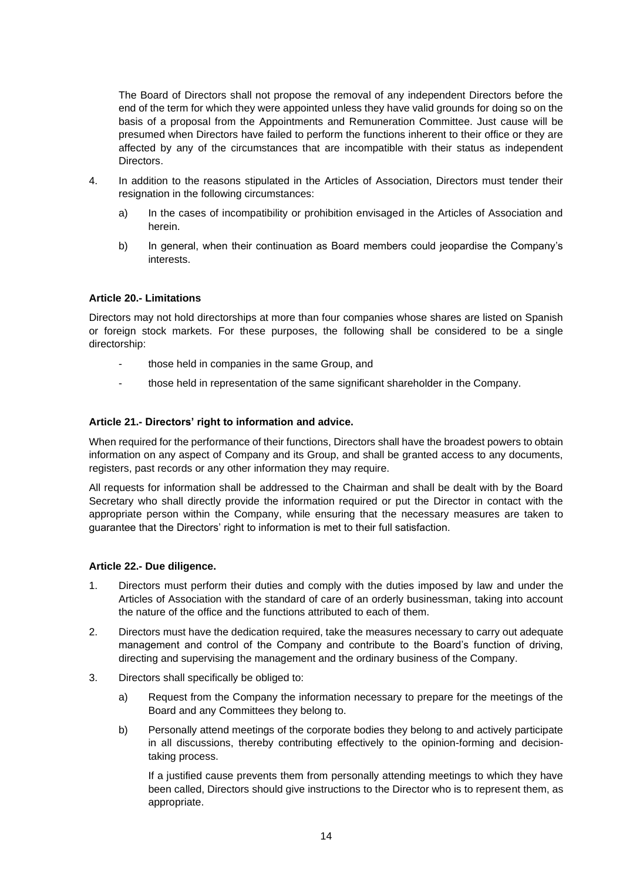The Board of Directors shall not propose the removal of any independent Directors before the end of the term for which they were appointed unless they have valid grounds for doing so on the basis of a proposal from the Appointments and Remuneration Committee. Just cause will be presumed when Directors have failed to perform the functions inherent to their office or they are affected by any of the circumstances that are incompatible with their status as independent Directors.

- 4. In addition to the reasons stipulated in the Articles of Association, Directors must tender their resignation in the following circumstances:
	- a) In the cases of incompatibility or prohibition envisaged in the Articles of Association and herein.
	- b) In general, when their continuation as Board members could jeopardise the Company's interests.

# **Article 20.- Limitations**

Directors may not hold directorships at more than four companies whose shares are listed on Spanish or foreign stock markets. For these purposes, the following shall be considered to be a single directorship:

- those held in companies in the same Group, and
- those held in representation of the same significant shareholder in the Company.

# **Article 21.- Directors' right to information and advice.**

When required for the performance of their functions, Directors shall have the broadest powers to obtain information on any aspect of Company and its Group, and shall be granted access to any documents, registers, past records or any other information they may require.

All requests for information shall be addressed to the Chairman and shall be dealt with by the Board Secretary who shall directly provide the information required or put the Director in contact with the appropriate person within the Company, while ensuring that the necessary measures are taken to guarantee that the Directors' right to information is met to their full satisfaction.

# **Article 22.- Due diligence.**

- 1. Directors must perform their duties and comply with the duties imposed by law and under the Articles of Association with the standard of care of an orderly businessman, taking into account the nature of the office and the functions attributed to each of them.
- 2. Directors must have the dedication required, take the measures necessary to carry out adequate management and control of the Company and contribute to the Board's function of driving, directing and supervising the management and the ordinary business of the Company.
- 3. Directors shall specifically be obliged to:
	- a) Request from the Company the information necessary to prepare for the meetings of the Board and any Committees they belong to.
	- b) Personally attend meetings of the corporate bodies they belong to and actively participate in all discussions, thereby contributing effectively to the opinion-forming and decisiontaking process.

If a justified cause prevents them from personally attending meetings to which they have been called, Directors should give instructions to the Director who is to represent them, as appropriate.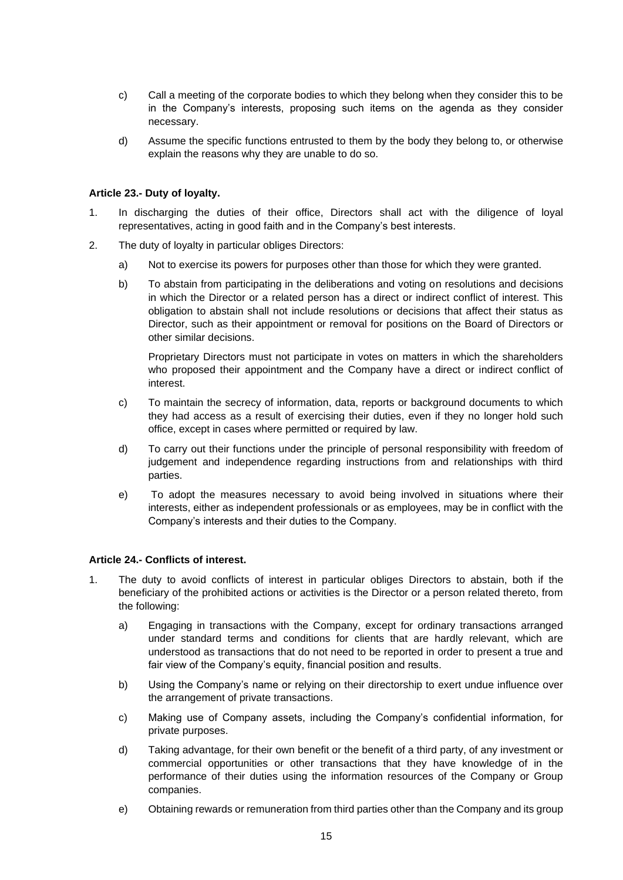- c) Call a meeting of the corporate bodies to which they belong when they consider this to be in the Company's interests, proposing such items on the agenda as they consider necessary.
- d) Assume the specific functions entrusted to them by the body they belong to, or otherwise explain the reasons why they are unable to do so.

### **Article 23.- Duty of loyalty.**

- 1. In discharging the duties of their office, Directors shall act with the diligence of loyal representatives, acting in good faith and in the Company's best interests.
- 2. The duty of loyalty in particular obliges Directors:
	- a) Not to exercise its powers for purposes other than those for which they were granted.
	- b) To abstain from participating in the deliberations and voting on resolutions and decisions in which the Director or a related person has a direct or indirect conflict of interest. This obligation to abstain shall not include resolutions or decisions that affect their status as Director, such as their appointment or removal for positions on the Board of Directors or other similar decisions.

Proprietary Directors must not participate in votes on matters in which the shareholders who proposed their appointment and the Company have a direct or indirect conflict of interest.

- c) To maintain the secrecy of information, data, reports or background documents to which they had access as a result of exercising their duties, even if they no longer hold such office, except in cases where permitted or required by law.
- d) To carry out their functions under the principle of personal responsibility with freedom of judgement and independence regarding instructions from and relationships with third parties.
- e) To adopt the measures necessary to avoid being involved in situations where their interests, either as independent professionals or as employees, may be in conflict with the Company's interests and their duties to the Company.

#### **Article 24.- Conflicts of interest.**

- 1. The duty to avoid conflicts of interest in particular obliges Directors to abstain, both if the beneficiary of the prohibited actions or activities is the Director or a person related thereto, from the following:
	- a) Engaging in transactions with the Company, except for ordinary transactions arranged under standard terms and conditions for clients that are hardly relevant, which are understood as transactions that do not need to be reported in order to present a true and fair view of the Company's equity, financial position and results.
	- b) Using the Company's name or relying on their directorship to exert undue influence over the arrangement of private transactions.
	- c) Making use of Company assets, including the Company's confidential information, for private purposes.
	- d) Taking advantage, for their own benefit or the benefit of a third party, of any investment or commercial opportunities or other transactions that they have knowledge of in the performance of their duties using the information resources of the Company or Group companies.
	- e) Obtaining rewards or remuneration from third parties other than the Company and its group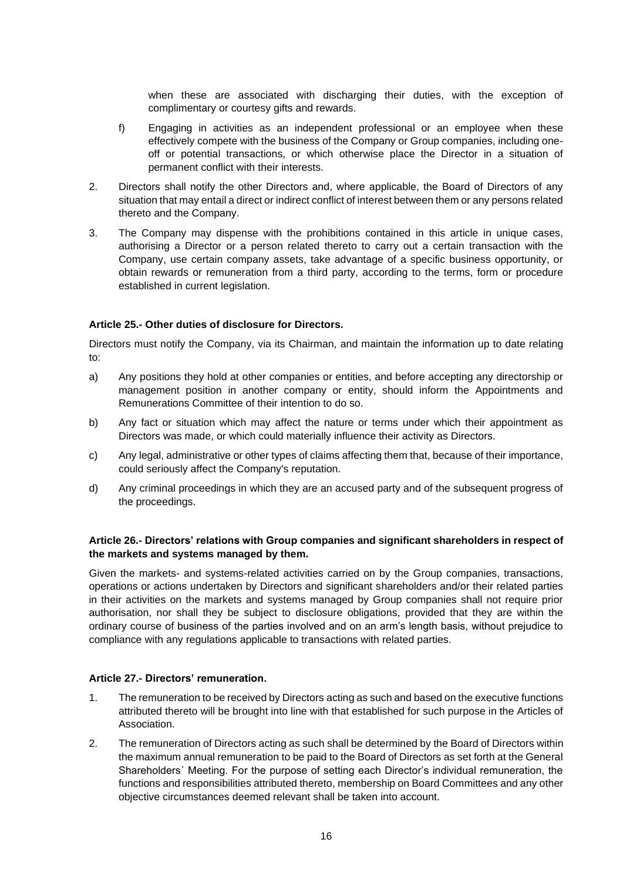when these are associated with discharging their duties, with the exception of complimentary or courtesy gifts and rewards.

- f) Engaging in activities as an independent professional or an employee when these effectively compete with the business of the Company or Group companies, including oneoff or potential transactions, or which otherwise place the Director in a situation of permanent conflict with their interests.
- 2. Directors shall notify the other Directors and, where applicable, the Board of Directors of any situation that may entail a direct or indirect conflict of interest between them or any persons related thereto and the Company.
- 3. The Company may dispense with the prohibitions contained in this article in unique cases, authorising a Director or a person related thereto to carry out a certain transaction with the Company, use certain company assets, take advantage of a specific business opportunity, or obtain rewards or remuneration from a third party, according to the terms, form or procedure established in current legislation.

# **Article 25.- Other duties of disclosure for Directors.**

Directors must notify the Company, via its Chairman, and maintain the information up to date relating to:

- a) Any positions they hold at other companies or entities, and before accepting any directorship or management position in another company or entity, should inform the Appointments and Remunerations Committee of their intention to do so.
- b) Any fact or situation which may affect the nature or terms under which their appointment as Directors was made, or which could materially influence their activity as Directors.
- c) Any legal, administrative or other types of claims affecting them that, because of their importance, could seriously affect the Company's reputation.
- d) Any criminal proceedings in which they are an accused party and of the subsequent progress of the proceedings.

# **Article 26.- Directors' relations with Group companies and significant shareholders in respect of the markets and systems managed by them.**

Given the markets- and systems-related activities carried on by the Group companies, transactions, operations or actions undertaken by Directors and significant shareholders and/or their related parties in their activities on the markets and systems managed by Group companies shall not require prior authorisation, nor shall they be subject to disclosure obligations, provided that they are within the ordinary course of business of the parties involved and on an arm's length basis, without prejudice to compliance with any regulations applicable to transactions with related parties.

#### **Article 27.- Directors' remuneration.**

- 1. The remuneration to be received by Directors acting as such and based on the executive functions attributed thereto will be brought into line with that established for such purpose in the Articles of Association.
- 2. The remuneration of Directors acting as such shall be determined by the Board of Directors within the maximum annual remuneration to be paid to the Board of Directors as set forth at the General Shareholders´ Meeting. For the purpose of setting each Director's individual remuneration, the functions and responsibilities attributed thereto, membership on Board Committees and any other objective circumstances deemed relevant shall be taken into account.